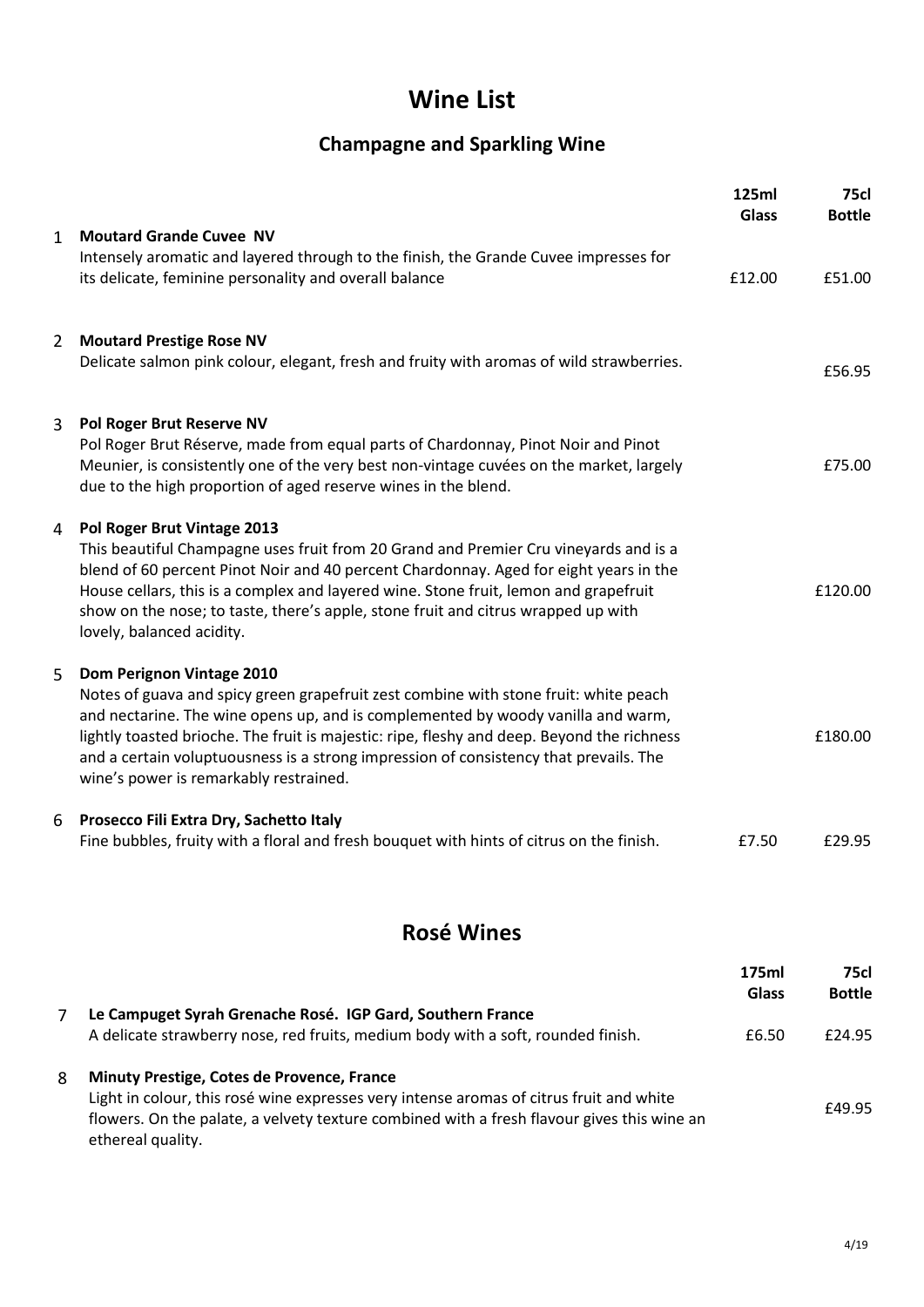# **Wine List**

## **Champagne and Sparkling Wine**

|                |                                                                                                                                                                                                                                                                                                                                                                                                                                        | 125ml<br><b>Glass</b> | <b>75cl</b><br><b>Bottle</b> |
|----------------|----------------------------------------------------------------------------------------------------------------------------------------------------------------------------------------------------------------------------------------------------------------------------------------------------------------------------------------------------------------------------------------------------------------------------------------|-----------------------|------------------------------|
| $\mathbf{1}$   | <b>Moutard Grande Cuvee NV</b><br>Intensely aromatic and layered through to the finish, the Grande Cuvee impresses for<br>its delicate, feminine personality and overall balance                                                                                                                                                                                                                                                       | £12.00                | £51.00                       |
| $\overline{2}$ | <b>Moutard Prestige Rose NV</b><br>Delicate salmon pink colour, elegant, fresh and fruity with aromas of wild strawberries.                                                                                                                                                                                                                                                                                                            |                       | £56.95                       |
| 3              | Pol Roger Brut Reserve NV<br>Pol Roger Brut Réserve, made from equal parts of Chardonnay, Pinot Noir and Pinot<br>Meunier, is consistently one of the very best non-vintage cuvées on the market, largely<br>due to the high proportion of aged reserve wines in the blend.                                                                                                                                                            |                       | £75.00                       |
| 4              | Pol Roger Brut Vintage 2013<br>This beautiful Champagne uses fruit from 20 Grand and Premier Cru vineyards and is a<br>blend of 60 percent Pinot Noir and 40 percent Chardonnay. Aged for eight years in the<br>House cellars, this is a complex and layered wine. Stone fruit, lemon and grapefruit<br>show on the nose; to taste, there's apple, stone fruit and citrus wrapped up with<br>lovely, balanced acidity.                 |                       | £120.00                      |
| 5              | Dom Perignon Vintage 2010<br>Notes of guava and spicy green grapefruit zest combine with stone fruit: white peach<br>and nectarine. The wine opens up, and is complemented by woody vanilla and warm,<br>lightly toasted brioche. The fruit is majestic: ripe, fleshy and deep. Beyond the richness<br>and a certain voluptuousness is a strong impression of consistency that prevails. The<br>wine's power is remarkably restrained. |                       | £180.00                      |
| 6              | Prosecco Fili Extra Dry, Sachetto Italy<br>Fine bubbles, fruity with a floral and fresh bouquet with hints of citrus on the finish.                                                                                                                                                                                                                                                                                                    | £7.50                 | £29.95                       |

## **Rosé Wines**

|                                                                                                                                                                                                            | 175ml        | <b>75cl</b>   |
|------------------------------------------------------------------------------------------------------------------------------------------------------------------------------------------------------------|--------------|---------------|
|                                                                                                                                                                                                            | <b>Glass</b> | <b>Bottle</b> |
| Le Campuget Syrah Grenache Rosé. IGP Gard, Southern France                                                                                                                                                 |              |               |
| A delicate strawberry nose, red fruits, medium body with a soft, rounded finish.                                                                                                                           | £6.50        | £24.95        |
| Minuty Prestige, Cotes de Provence, France                                                                                                                                                                 |              |               |
| Light in colour, this rosé wine expresses very intense aromas of citrus fruit and white<br>flowers. On the palate, a velvety texture combined with a fresh flavour gives this wine an<br>ethereal quality. |              | £49.95        |
|                                                                                                                                                                                                            |              |               |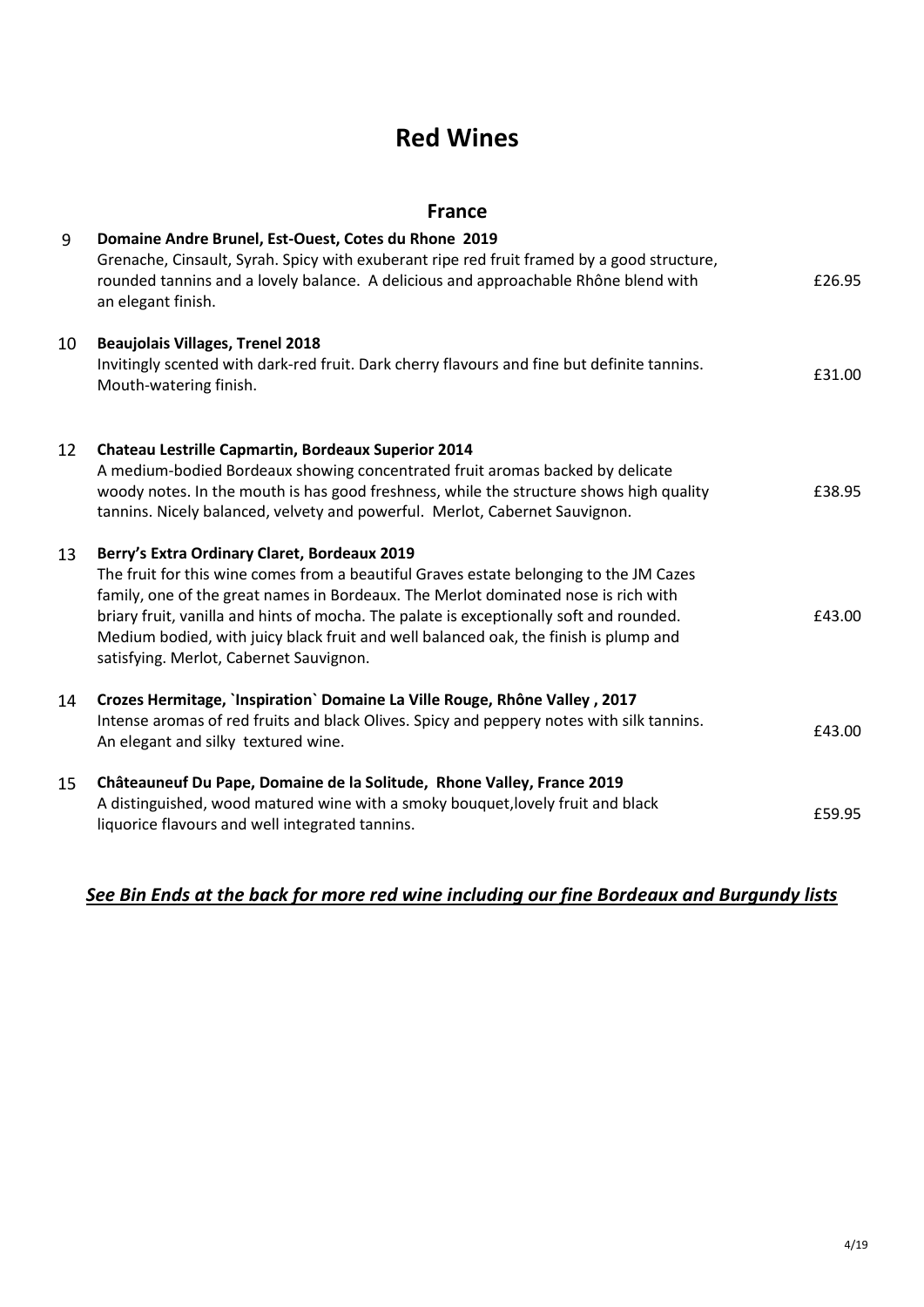## **Red Wines**

#### **France**

| 9  | Domaine Andre Brunel, Est-Ouest, Cotes du Rhone 2019<br>Grenache, Cinsault, Syrah. Spicy with exuberant ripe red fruit framed by a good structure,<br>rounded tannins and a lovely balance. A delicious and approachable Rhône blend with<br>an elegant finish.                                                                                                                                                                                            | £26.95 |
|----|------------------------------------------------------------------------------------------------------------------------------------------------------------------------------------------------------------------------------------------------------------------------------------------------------------------------------------------------------------------------------------------------------------------------------------------------------------|--------|
| 10 | <b>Beaujolais Villages, Trenel 2018</b><br>Invitingly scented with dark-red fruit. Dark cherry flavours and fine but definite tannins.<br>Mouth-watering finish.                                                                                                                                                                                                                                                                                           | £31.00 |
| 12 | Chateau Lestrille Capmartin, Bordeaux Superior 2014<br>A medium-bodied Bordeaux showing concentrated fruit aromas backed by delicate<br>woody notes. In the mouth is has good freshness, while the structure shows high quality<br>tannins. Nicely balanced, velvety and powerful. Merlot, Cabernet Sauvignon.                                                                                                                                             | £38.95 |
| 13 | Berry's Extra Ordinary Claret, Bordeaux 2019<br>The fruit for this wine comes from a beautiful Graves estate belonging to the JM Cazes<br>family, one of the great names in Bordeaux. The Merlot dominated nose is rich with<br>briary fruit, vanilla and hints of mocha. The palate is exceptionally soft and rounded.<br>Medium bodied, with juicy black fruit and well balanced oak, the finish is plump and<br>satisfying. Merlot, Cabernet Sauvignon. | £43.00 |
| 14 | Crozes Hermitage, `Inspiration` Domaine La Ville Rouge, Rhône Valley, 2017<br>Intense aromas of red fruits and black Olives. Spicy and peppery notes with silk tannins.<br>An elegant and silky textured wine.                                                                                                                                                                                                                                             | £43.00 |
| 15 | Châteauneuf Du Pape, Domaine de la Solitude, Rhone Valley, France 2019<br>A distinguished, wood matured wine with a smoky bouquet, lovely fruit and black<br>liquorice flavours and well integrated tannins.                                                                                                                                                                                                                                               | £59.95 |

### *See Bin Ends at the back for more red wine including our fine Bordeaux and Burgundy lists*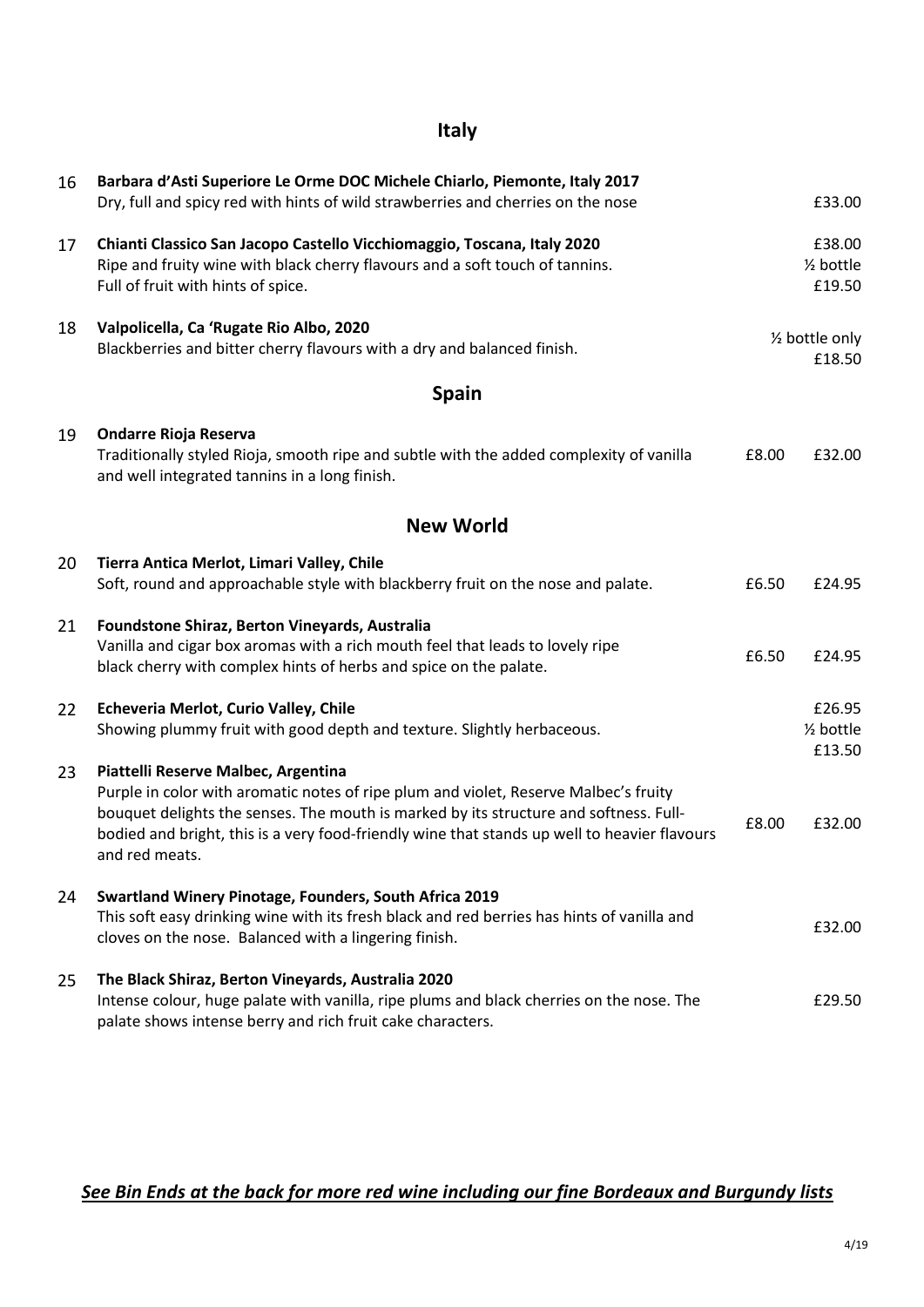### **Italy**

| 16 | Barbara d'Asti Superiore Le Orme DOC Michele Chiarlo, Piemonte, Italy 2017<br>Dry, full and spicy red with hints of wild strawberries and cherries on the nose                                                                                                                                                                         |       | £33.00                                     |
|----|----------------------------------------------------------------------------------------------------------------------------------------------------------------------------------------------------------------------------------------------------------------------------------------------------------------------------------------|-------|--------------------------------------------|
| 17 | Chianti Classico San Jacopo Castello Vicchiomaggio, Toscana, Italy 2020<br>Ripe and fruity wine with black cherry flavours and a soft touch of tannins.<br>Full of fruit with hints of spice.                                                                                                                                          |       | £38.00<br>1/ <sub>2</sub> bottle<br>£19.50 |
| 18 | Valpolicella, Ca 'Rugate Rio Albo, 2020<br>Blackberries and bitter cherry flavours with a dry and balanced finish.                                                                                                                                                                                                                     |       | 1/2 bottle only<br>£18.50                  |
|    | <b>Spain</b>                                                                                                                                                                                                                                                                                                                           |       |                                            |
| 19 | <b>Ondarre Rioja Reserva</b><br>Traditionally styled Rioja, smooth ripe and subtle with the added complexity of vanilla<br>and well integrated tannins in a long finish.                                                                                                                                                               | £8.00 | £32.00                                     |
|    | <b>New World</b>                                                                                                                                                                                                                                                                                                                       |       |                                            |
| 20 | Tierra Antica Merlot, Limari Valley, Chile<br>Soft, round and approachable style with blackberry fruit on the nose and palate.                                                                                                                                                                                                         | £6.50 | £24.95                                     |
| 21 | Foundstone Shiraz, Berton Vineyards, Australia<br>Vanilla and cigar box aromas with a rich mouth feel that leads to lovely ripe<br>black cherry with complex hints of herbs and spice on the palate.                                                                                                                                   | £6.50 | £24.95                                     |
| 22 | Echeveria Merlot, Curio Valley, Chile<br>Showing plummy fruit with good depth and texture. Slightly herbaceous.                                                                                                                                                                                                                        |       | £26.95<br>1/ <sub>2</sub> bottle<br>£13.50 |
| 23 | Piattelli Reserve Malbec, Argentina<br>Purple in color with aromatic notes of ripe plum and violet, Reserve Malbec's fruity<br>bouquet delights the senses. The mouth is marked by its structure and softness. Full-<br>bodied and bright, this is a very food-friendly wine that stands up well to heavier flavours<br>and red meats. | £8.00 | £32.00                                     |
| 24 | Swartland Winery Pinotage, Founders, South Africa 2019<br>This soft easy drinking wine with its fresh black and red berries has hints of vanilla and<br>cloves on the nose. Balanced with a lingering finish.                                                                                                                          |       | £32.00                                     |
| 25 | The Black Shiraz, Berton Vineyards, Australia 2020<br>Intense colour, huge palate with vanilla, ripe plums and black cherries on the nose. The<br>palate shows intense berry and rich fruit cake characters.                                                                                                                           |       | £29.50                                     |

### *See Bin Ends at the back for more red wine including our fine Bordeaux and Burgundy lists*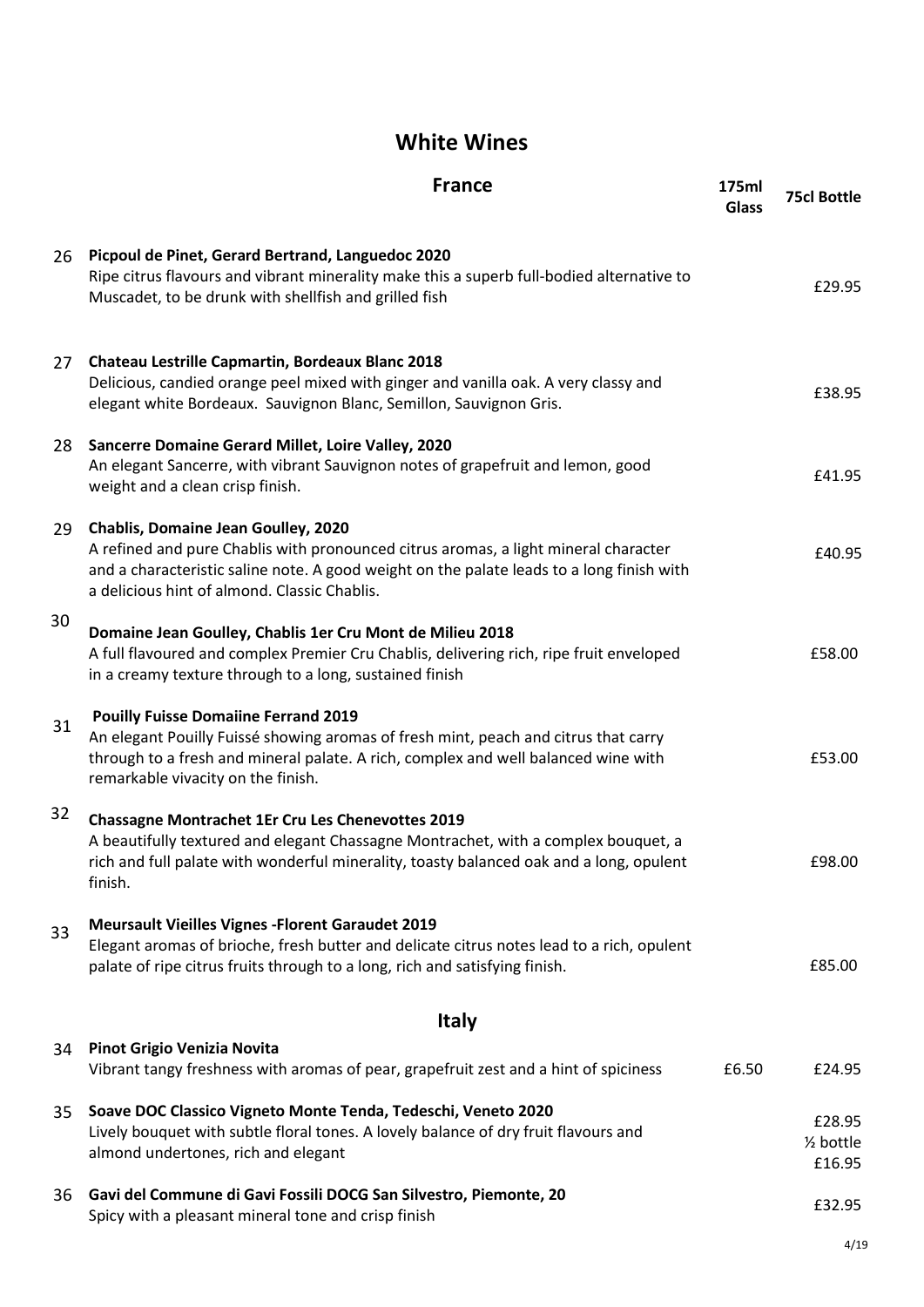## **White Wines**

|    | <b>France</b>                                                                                                                                                                                                                                                           | 175ml<br><b>Glass</b> | <b>75cl Bottle</b>                       |  |
|----|-------------------------------------------------------------------------------------------------------------------------------------------------------------------------------------------------------------------------------------------------------------------------|-----------------------|------------------------------------------|--|
| 26 | Picpoul de Pinet, Gerard Bertrand, Languedoc 2020<br>Ripe citrus flavours and vibrant minerality make this a superb full-bodied alternative to<br>Muscadet, to be drunk with shellfish and grilled fish                                                                 |                       | £29.95                                   |  |
| 27 | Chateau Lestrille Capmartin, Bordeaux Blanc 2018<br>Delicious, candied orange peel mixed with ginger and vanilla oak. A very classy and<br>elegant white Bordeaux. Sauvignon Blanc, Semillon, Sauvignon Gris.                                                           |                       | £38.95                                   |  |
| 28 | Sancerre Domaine Gerard Millet, Loire Valley, 2020<br>An elegant Sancerre, with vibrant Sauvignon notes of grapefruit and lemon, good<br>weight and a clean crisp finish.                                                                                               |                       | £41.95                                   |  |
| 29 | Chablis, Domaine Jean Goulley, 2020<br>A refined and pure Chablis with pronounced citrus aromas, a light mineral character<br>and a characteristic saline note. A good weight on the palate leads to a long finish with<br>a delicious hint of almond. Classic Chablis. |                       | £40.95                                   |  |
| 30 | Domaine Jean Goulley, Chablis 1er Cru Mont de Milieu 2018<br>A full flavoured and complex Premier Cru Chablis, delivering rich, ripe fruit enveloped<br>in a creamy texture through to a long, sustained finish                                                         |                       | £58.00                                   |  |
| 31 | <b>Pouilly Fuisse Domaiine Ferrand 2019</b><br>An elegant Pouilly Fuissé showing aromas of fresh mint, peach and citrus that carry<br>through to a fresh and mineral palate. A rich, complex and well balanced wine with<br>remarkable vivacity on the finish.          |                       | £53.00                                   |  |
| 32 | <b>Chassagne Montrachet 1Er Cru Les Chenevottes 2019</b><br>A beautifully textured and elegant Chassagne Montrachet, with a complex bouquet, a<br>rich and full palate with wonderful minerality, toasty balanced oak and a long, opulent<br>finish.                    |                       | £98.00                                   |  |
| 33 | <b>Meursault Vieilles Vignes - Florent Garaudet 2019</b><br>Elegant aromas of brioche, fresh butter and delicate citrus notes lead to a rich, opulent<br>palate of ripe citrus fruits through to a long, rich and satisfying finish.                                    |                       | £85.00                                   |  |
|    | <b>Italy</b>                                                                                                                                                                                                                                                            |                       |                                          |  |
| 34 | <b>Pinot Grigio Venizia Novita</b><br>Vibrant tangy freshness with aromas of pear, grapefruit zest and a hint of spiciness                                                                                                                                              | £6.50                 | £24.95                                   |  |
| 35 | Soave DOC Classico Vigneto Monte Tenda, Tedeschi, Veneto 2020<br>Lively bouquet with subtle floral tones. A lovely balance of dry fruit flavours and<br>almond undertones, rich and elegant                                                                             |                       | £28.95<br>$\frac{1}{2}$ bottle<br>£16.95 |  |
| 36 | Gavi del Commune di Gavi Fossili DOCG San Silvestro, Piemonte, 20<br>Spicy with a pleasant mineral tone and crisp finish                                                                                                                                                |                       | £32.95                                   |  |
|    |                                                                                                                                                                                                                                                                         |                       | 4/19                                     |  |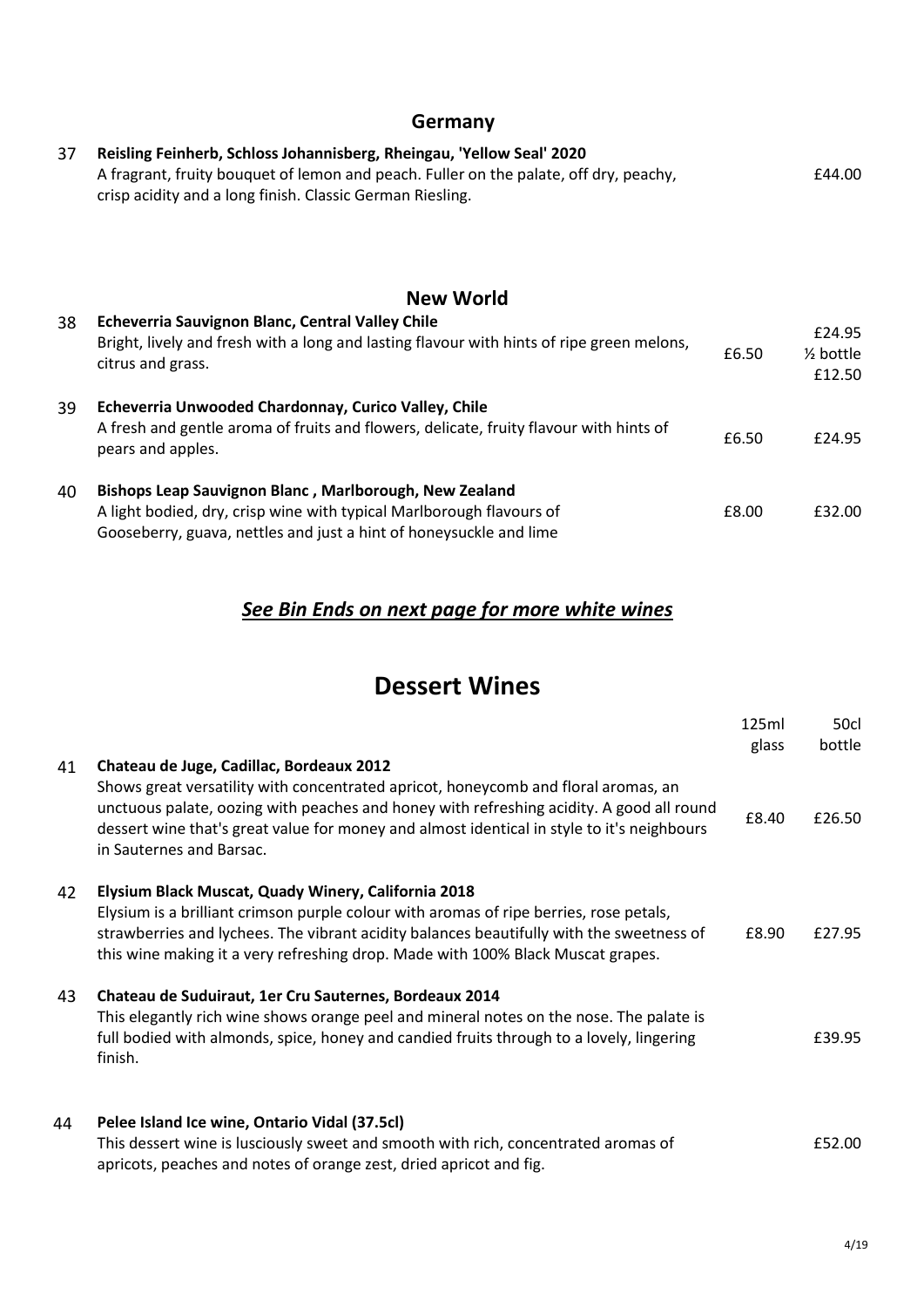### **Germany**

| 37 | Reisling Feinherb, Schloss Johannisberg, Rheingau, 'Yellow Seal' 2020<br>A fragrant, fruity bouquet of lemon and peach. Fuller on the palate, off dry, peachy,<br>crisp acidity and a long finish. Classic German Riesling. |       | £44.00                                   |
|----|-----------------------------------------------------------------------------------------------------------------------------------------------------------------------------------------------------------------------------|-------|------------------------------------------|
|    | <b>New World</b>                                                                                                                                                                                                            |       |                                          |
| 38 | Echeverria Sauvignon Blanc, Central Valley Chile<br>Bright, lively and fresh with a long and lasting flavour with hints of ripe green melons,<br>citrus and grass.                                                          | £6.50 | £24.95<br>$\frac{1}{2}$ bottle<br>£12.50 |
| 39 | Echeverria Unwooded Chardonnay, Curico Valley, Chile<br>A fresh and gentle aroma of fruits and flowers, delicate, fruity flavour with hints of<br>pears and apples.                                                         | £6.50 | £24.95                                   |
| 40 | Bishops Leap Sauvignon Blanc, Marlborough, New Zealand<br>A light bodied, dry, crisp wine with typical Marlborough flavours of<br>Gooseberry, guava, nettles and just a hint of honeysuckle and lime                        | £8.00 | £32.00                                   |

## *See Bin Ends on next page for more white wines*

## **Dessert Wines**

|    |                                                                                                                                                                                                                                                                                                                              | 125ml | 50cl   |
|----|------------------------------------------------------------------------------------------------------------------------------------------------------------------------------------------------------------------------------------------------------------------------------------------------------------------------------|-------|--------|
| 41 | Chateau de Juge, Cadillac, Bordeaux 2012                                                                                                                                                                                                                                                                                     | glass | bottle |
|    | Shows great versatility with concentrated apricot, honeycomb and floral aromas, an<br>unctuous palate, oozing with peaches and honey with refreshing acidity. A good all round<br>dessert wine that's great value for money and almost identical in style to it's neighbours<br>in Sauternes and Barsac.                     | £8.40 | £26.50 |
| 42 | Elysium Black Muscat, Quady Winery, California 2018<br>Elysium is a brilliant crimson purple colour with aromas of ripe berries, rose petals,<br>strawberries and lychees. The vibrant acidity balances beautifully with the sweetness of<br>this wine making it a very refreshing drop. Made with 100% Black Muscat grapes. | £8.90 | £27.95 |
| 43 | Chateau de Suduiraut, 1er Cru Sauternes, Bordeaux 2014<br>This elegantly rich wine shows orange peel and mineral notes on the nose. The palate is<br>full bodied with almonds, spice, honey and candied fruits through to a lovely, lingering<br>finish.                                                                     |       | £39.95 |
| 44 | Pelee Island Ice wine, Ontario Vidal (37.5cl)<br>This dessert wine is lusciously sweet and smooth with rich, concentrated aromas of<br>apricots, peaches and notes of orange zest, dried apricot and fig.                                                                                                                    |       | £52.00 |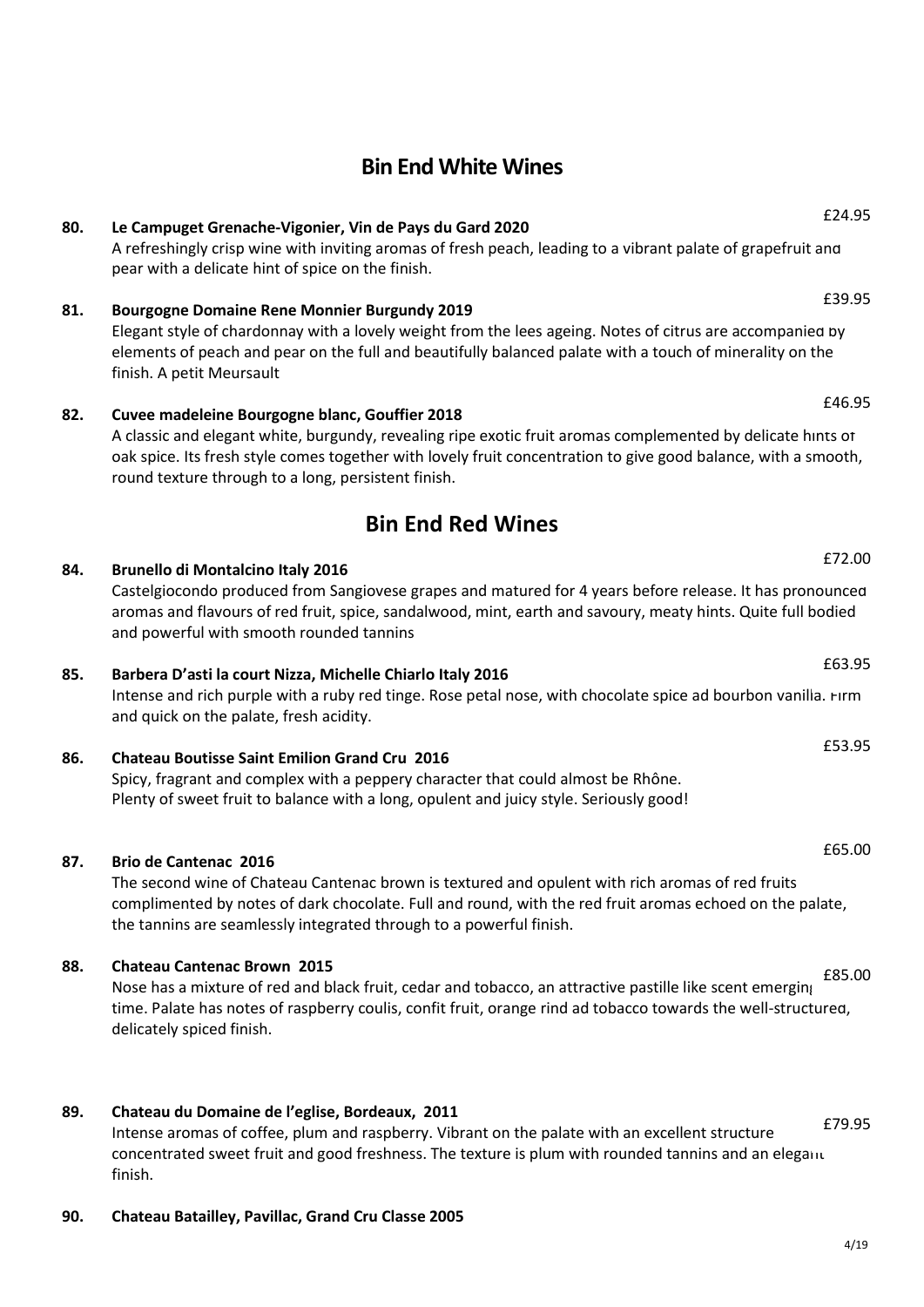### **Bin End White Wines**

## **80. Le Campuget Grenache-Vigonier, Vin de Pays du Gard 2020**

A refreshingly crisp wine with inviting aromas of fresh peach, leading to a vibrant palate of grapefruit and pear with a delicate hint of spice on the finish.

### **81. Bourgogne Domaine Rene Monnier Burgundy 2019**

Elegant style of chardonnay with a lovely weight from the lees ageing. Notes of citrus are accompanied by elements of peach and pear on the full and beautifully balanced palate with a touch of minerality on the finish. A petit Meursault

#### **82. Cuvee madeleine Bourgogne blanc, Gouffier 2018**

A classic and elegant white, burgundy, revealing ripe exotic fruit aromas complemented by delicate hints of oak spice. Its fresh style comes together with lovely fruit concentration to give good balance, with a smooth, round texture through to a long, persistent finish.

### **Bin End Red Wines**

### **84. Brunello di Montalcino Italy 2016**

Castelgiocondo produced from Sangiovese grapes and matured for 4 years before release. It has pronounced aromas and flavours of red fruit, spice, sandalwood, mint, earth and savoury, meaty hints. Quite full bodied and powerful with smooth rounded tannins

#### **85. Barbera D'asti la court Nizza, Michelle Chiarlo Italy 2016**

Intense and rich purple with a ruby red tinge. Rose petal nose, with chocolate spice ad bourbon vanilla. Firm and quick on the palate, fresh acidity.

### **86. Chateau Boutisse Saint Emilion Grand Cru 2016**

Spicy, fragrant and complex with a peppery character that could almost be Rhône. Plenty of sweet fruit to balance with a long, opulent and juicy style. Seriously good!

#### **87. Brio de Cantenac 2016**

The second wine of Chateau Cantenac brown is textured and opulent with rich aromas of red fruits complimented by notes of dark chocolate. Full and round, with the red fruit aromas echoed on the palate, the tannins are seamlessly integrated through to a powerful finish.

#### **88. Chateau Cantenac Brown 2015**

Nose has a mixture of red and black fruit, cedar and tobacco, an attractive pastille like scent emerging time. Palate has notes of raspberry coulis, confit fruit, orange rind ad tobacco towards the well-structured, delicately spiced finish. £85.00

#### **89. Chateau du Domaine de l'eglise, Bordeaux, 2011**

Intense aromas of coffee, plum and raspberry. Vibrant on the palate with an excellent structure concentrated sweet fruit and good freshness. The texture is plum with rounded tannins and an elegant finish. £79.95

#### **90. Chateau Batailley, Pavillac, Grand Cru Classe 2005**

£24.95

£39.95

£46.95

## £63.95

£72.00

£53.95

£65.00